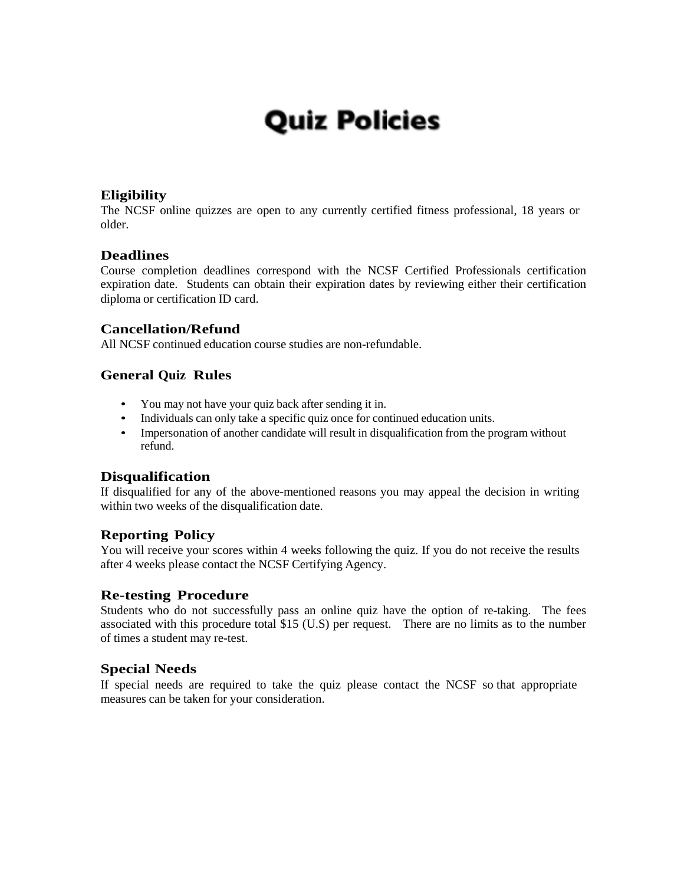## **Quiz Policies**

#### **Eligibility**

The NCSF online quizzes are open to any currently certified fitness professional, 18 years or older.

#### **Deadlines**

Course completion deadlines correspond with the NCSF Certified Professionals certification expiration date. Students can obtain their expiration dates by reviewing either their certification diploma or certification ID card.

#### **Cancellation/Refund**

All NCSF continued education course studies are non-refundable.

#### **General Quiz Rules**

- You may not have your quiz back after sending it in.
- Individuals can only take a specific quiz once for continued education units.
- Impersonation of another candidate will result in disqualification from the program without refund.

#### **Disqualification**

If disqualified for any of the above-mentioned reasons you may appeal the decision in writing within two weeks of the disqualification date.

#### **Reporting Policy**

You will receive your scores within 4 weeks following the quiz. If you do not receive the results after 4 weeks please contact the NCSF Certifying Agency.

#### **Re-testing Procedure**

Students who do not successfully pass an online quiz have the option of re-taking. The fees associated with this procedure total \$15 (U.S) per request. There are no limits as to the number of times a student may re-test.

#### **Special Needs**

If special needs are required to take the quiz please contact the NCSF so that appropriate measures can be taken for your consideration.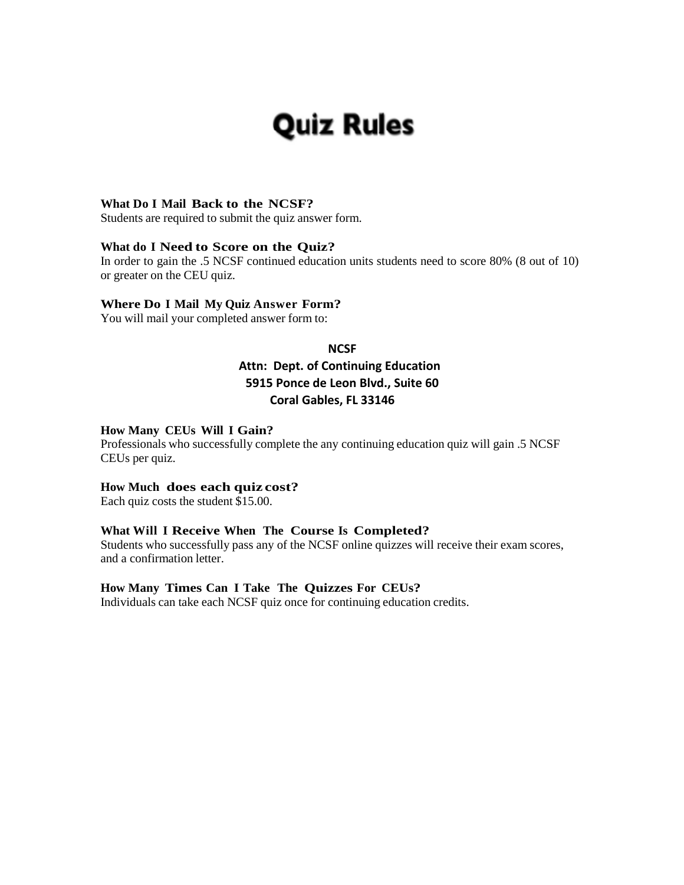# **Quiz Rules**

#### **What Do I Mail Back to the NCSF?**

Students are required to submit the quiz answer form.

#### **What do I Need to Score on the Quiz?**

In order to gain the .5 NCSF continued education units students need to score 80% (8 out of 10) or greater on the CEU quiz.

#### **Where Do I Mail My Quiz Answer Form?**

You will mail your completed answer form to:

#### **NCSF**

#### **Attn: Dept. of Continuing Education 5915 Ponce de Leon Blvd., Suite 60 Coral Gables, FL 33146**

#### **How Many CEUs Will I Gain?**

Professionals who successfully complete the any continuing education quiz will gain .5 NCSF CEUs per quiz.

#### **How Much does each quiz cost?**

Each quiz costs the student \$15.00.

#### **What Will I Receive When The Course Is Completed?**

Students who successfully pass any of the NCSF online quizzes will receive their exam scores, and a confirmation letter.

#### **How Many Times Can I Take The Quizzes For CEUs?**

Individuals can take each NCSF quiz once for continuing education credits.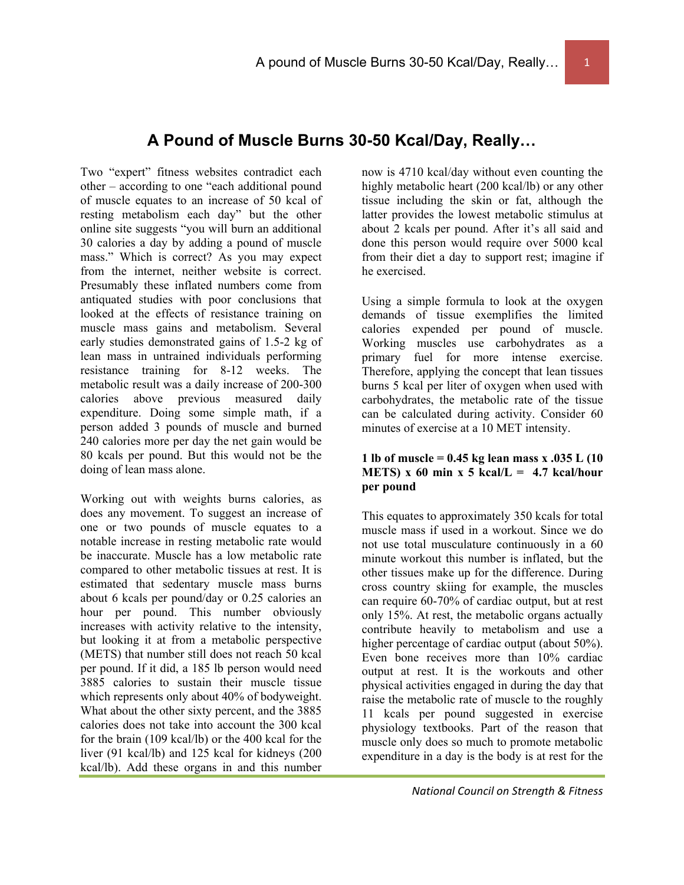### **A Pound of Muscle Burns 30-50 Kcal/Day, Really…**

Two "expert" fitness websites contradict each other – according to one "each additional pound of muscle equates to an increase of 50 kcal of resting metabolism each day" but the other online site suggests "you will burn an additional 30 calories a day by adding a pound of muscle mass." Which is correct? As you may expect from the internet, neither website is correct. Presumably these inflated numbers come from antiquated studies with poor conclusions that looked at the effects of resistance training on muscle mass gains and metabolism. Several early studies demonstrated gains of 1.5-2 kg of lean mass in untrained individuals performing resistance training for 8-12 weeks. The metabolic result was a daily increase of 200-300 calories above previous measured daily expenditure. Doing some simple math, if a person added 3 pounds of muscle and burned 240 calories more per day the net gain would be 80 kcals per pound. But this would not be the doing of lean mass alone.

Working out with weights burns calories, as does any movement. To suggest an increase of one or two pounds of muscle equates to a notable increase in resting metabolic rate would be inaccurate. Muscle has a low metabolic rate compared to other metabolic tissues at rest. It is estimated that sedentary muscle mass burns about 6 kcals per pound/day or 0.25 calories an hour per pound. This number obviously increases with activity relative to the intensity, but looking it at from a metabolic perspective (METS) that number still does not reach 50 kcal per pound. If it did, a 185 lb person would need 3885 calories to sustain their muscle tissue which represents only about 40% of bodyweight. What about the other sixty percent, and the 3885 calories does not take into account the 300 kcal for the brain (109 kcal/lb) or the 400 kcal for the liver (91 kcal/lb) and 125 kcal for kidneys (200 kcal/lb). Add these organs in and this number now is 4710 kcal/day without even counting the highly metabolic heart (200 kcal/lb) or any other tissue including the skin or fat, although the latter provides the lowest metabolic stimulus at about 2 kcals per pound. After it's all said and done this person would require over 5000 kcal from their diet a day to support rest; imagine if he exercised.

Using a simple formula to look at the oxygen demands of tissue exemplifies the limited calories expended per pound of muscle. Working muscles use carbohydrates as a primary fuel for more intense exercise. Therefore, applying the concept that lean tissues burns 5 kcal per liter of oxygen when used with carbohydrates, the metabolic rate of the tissue can be calculated during activity. Consider 60 minutes of exercise at a 10 MET intensity.

#### **1 lb of muscle = 0.45 kg lean mass x .035 L (10 METS**) x 60 min x 5 kcal/L =  $4.7$  kcal/hour **per pound**

This equates to approximately 350 kcals for total muscle mass if used in a workout. Since we do not use total musculature continuously in a 60 minute workout this number is inflated, but the other tissues make up for the difference. During cross country skiing for example, the muscles can require 60-70% of cardiac output, but at rest only 15%. At rest, the metabolic organs actually contribute heavily to metabolism and use a higher percentage of cardiac output (about 50%). Even bone receives more than 10% cardiac output at rest. It is the workouts and other physical activities engaged in during the day that raise the metabolic rate of muscle to the roughly 11 kcals per pound suggested in exercise physiology textbooks. Part of the reason that muscle only does so much to promote metabolic expenditure in a day is the body is at rest for the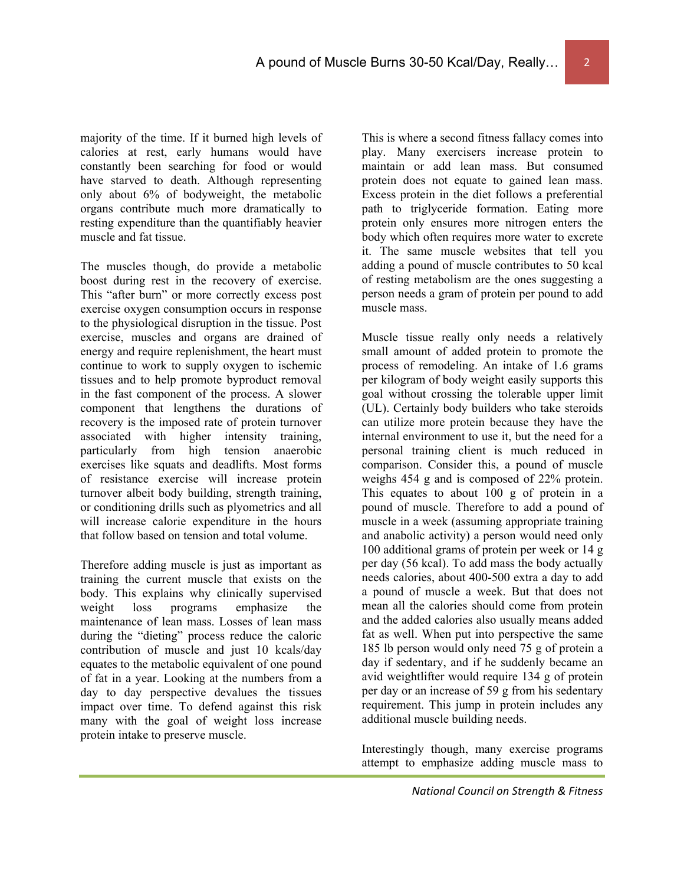majority of the time. If it burned high levels of calories at rest, early humans would have constantly been searching for food or would have starved to death. Although representing only about 6% of bodyweight, the metabolic organs contribute much more dramatically to resting expenditure than the quantifiably heavier muscle and fat tissue.

The muscles though, do provide a metabolic boost during rest in the recovery of exercise. This "after burn" or more correctly excess post exercise oxygen consumption occurs in response to the physiological disruption in the tissue. Post exercise, muscles and organs are drained of energy and require replenishment, the heart must continue to work to supply oxygen to ischemic tissues and to help promote byproduct removal in the fast component of the process. A slower component that lengthens the durations of recovery is the imposed rate of protein turnover associated with higher intensity training, particularly from high tension anaerobic exercises like squats and deadlifts. Most forms of resistance exercise will increase protein turnover albeit body building, strength training, or conditioning drills such as plyometrics and all will increase calorie expenditure in the hours that follow based on tension and total volume.

Therefore adding muscle is just as important as training the current muscle that exists on the body. This explains why clinically supervised weight loss programs emphasize the maintenance of lean mass. Losses of lean mass during the "dieting" process reduce the caloric contribution of muscle and just 10 kcals/day equates to the metabolic equivalent of one pound of fat in a year. Looking at the numbers from a day to day perspective devalues the tissues impact over time. To defend against this risk many with the goal of weight loss increase protein intake to preserve muscle.

This is where a second fitness fallacy comes into play. Many exercisers increase protein to maintain or add lean mass. But consumed protein does not equate to gained lean mass. Excess protein in the diet follows a preferential path to triglyceride formation. Eating more protein only ensures more nitrogen enters the body which often requires more water to excrete it. The same muscle websites that tell you adding a pound of muscle contributes to 50 kcal of resting metabolism are the ones suggesting a person needs a gram of protein per pound to add muscle mass.

Muscle tissue really only needs a relatively small amount of added protein to promote the process of remodeling. An intake of 1.6 grams per kilogram of body weight easily supports this goal without crossing the tolerable upper limit (UL). Certainly body builders who take steroids can utilize more protein because they have the internal environment to use it, but the need for a personal training client is much reduced in comparison. Consider this, a pound of muscle weighs 454 g and is composed of 22% protein. This equates to about 100 g of protein in a pound of muscle. Therefore to add a pound of muscle in a week (assuming appropriate training and anabolic activity) a person would need only 100 additional grams of protein per week or 14 g per day (56 kcal). To add mass the body actually needs calories, about 400-500 extra a day to add a pound of muscle a week. But that does not mean all the calories should come from protein and the added calories also usually means added fat as well. When put into perspective the same 185 lb person would only need 75 g of protein a day if sedentary, and if he suddenly became an avid weightlifter would require 134 g of protein per day or an increase of 59 g from his sedentary requirement. This jump in protein includes any additional muscle building needs.

Interestingly though, many exercise programs attempt to emphasize adding muscle mass to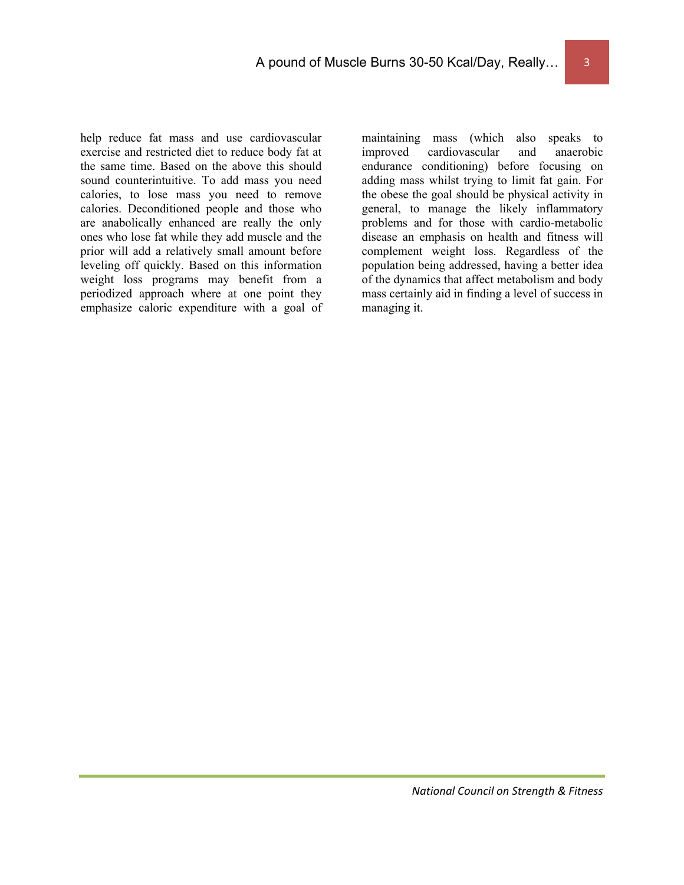help reduce fat mass and use cardiovascular exercise and restricted diet to reduce body fat at the same time. Based on the above this should sound counterintuitive. To add mass you need calories, to lose mass you need to remove calories. Deconditioned people and those who are anabolically enhanced are really the only ones who lose fat while they add muscle and the prior will add a relatively small amount before leveling off quickly. Based on this information weight loss programs may benefit from a periodized approach where at one point they emphasize caloric expenditure with a goal of maintaining mass (which also speaks to improved cardiovascular and anaerobic endurance conditioning) before focusing on adding mass whilst trying to limit fat gain. For the obese the goal should be physical activity in general, to manage the likely inflammatory problems and for those with cardio-metabolic disease an emphasis on health and fitness will complement weight loss. Regardless of the population being addressed, having a better idea of the dynamics that affect metabolism and body mass certainly aid in finding a level of success in managing it.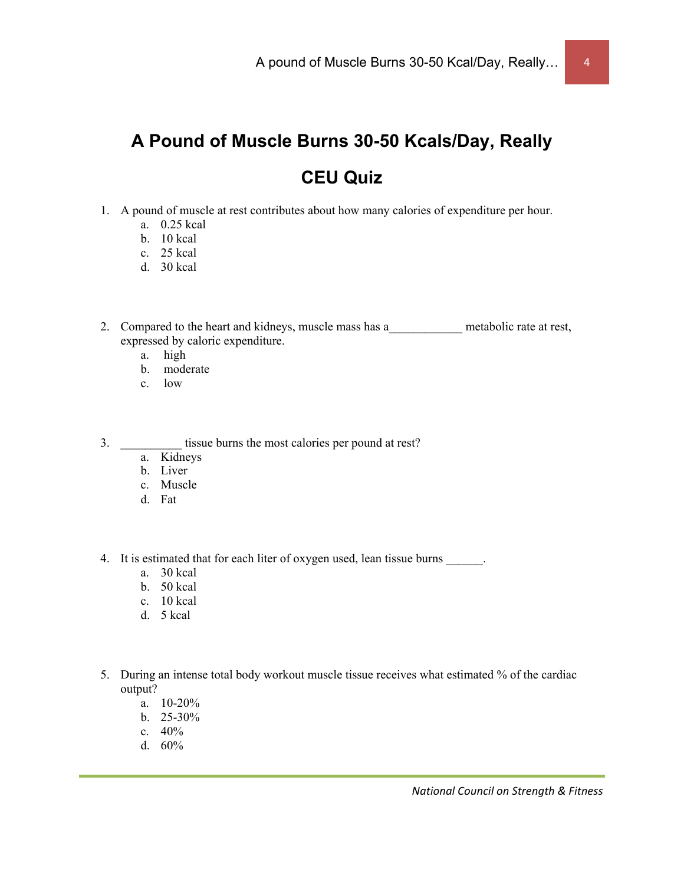## **A Pound of Muscle Burns 30-50 Kcals/Day, Really CEU Quiz**

- 1. A pound of muscle at rest contributes about how many calories of expenditure per hour.
	- a. 0.25 kcal
	- b. 10 kcal
	- c. 25 kcal
	- d. 30 kcal

2. Compared to the heart and kidneys, muscle mass has a metabolic rate at rest, expressed by caloric expenditure.

- a. high
- b. moderate
- c. low
- 3. \_\_\_\_\_\_\_\_\_\_\_\_ tissue burns the most calories per pound at rest?
	- a. Kidneys
	- b. Liver
	- c. Muscle
	- d. Fat
- 4. It is estimated that for each liter of oxygen used, lean tissue burns .
	- a. 30 kcal
	- b. 50 kcal
	- c. 10 kcal
	- d. 5 kcal
- 5. During an intense total body workout muscle tissue receives what estimated % of the cardiac output?
	- a. 10-20%
	- b.  $25-30\%$
	- c. 40%
	- d. 60%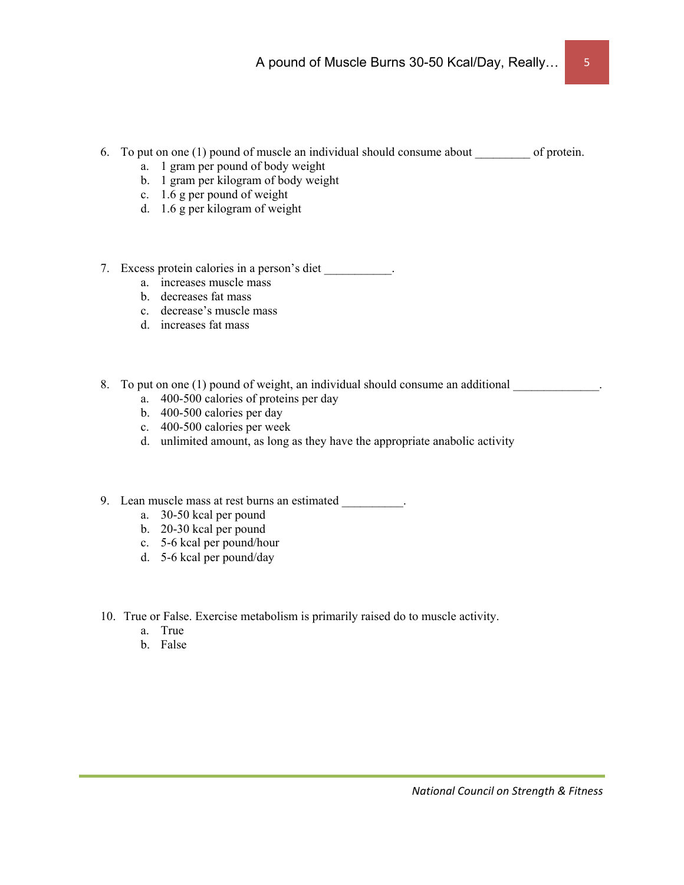- 6. To put on one  $(1)$  pound of muscle an individual should consume about of protein.
	- a. 1 gram per pound of body weight
	- b. 1 gram per kilogram of body weight
	- c. 1.6 g per pound of weight
	- d. 1.6 g per kilogram of weight
- 7. Excess protein calories in a person's diet \_\_\_\_\_\_\_\_\_.
	- a. increases muscle mass
	- b. decreases fat mass
	- c. decrease's muscle mass
	- d. increases fat mass
- 8. To put on one (1) pound of weight, an individual should consume an additional
	- a. 400-500 calories of proteins per day
	- b. 400-500 calories per day
	- c. 400-500 calories per week
	- d. unlimited amount, as long as they have the appropriate anabolic activity
- 9. Lean muscle mass at rest burns an estimated \_\_\_\_\_\_\_\_\_\_.
	- a. 30-50 kcal per pound
	- b. 20-30 kcal per pound
	- c. 5-6 kcal per pound/hour
	- d. 5-6 kcal per pound/day
- 10. True or False. Exercise metabolism is primarily raised do to muscle activity.
	- a. True
	- b. False